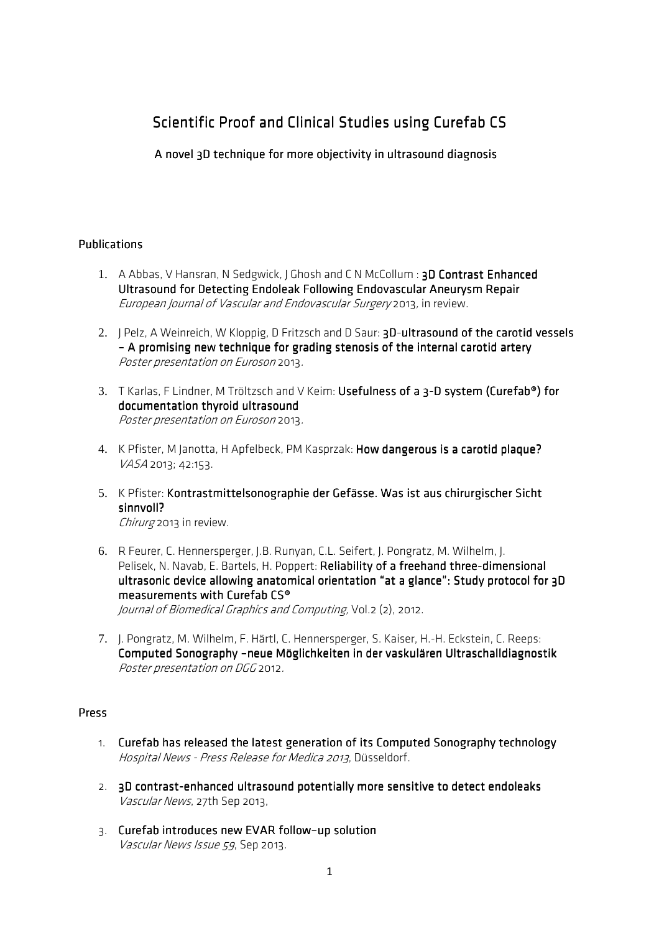# Scientific Proof and Clinical Studies using Curefab CS

A novel 3D technique for more objectivity in ultrasound diagnosis

## **Publications**

- 1. A Abbas, V Hansran, N Sedgwick, J Ghosh and C N McCollum : 3D Contrast Enhanced Ultrasound for Detecting Endoleak Following Endovascular Aneurysm Repair European Journal of Vascular and Endovascular Surgery 2013, in review.
- 2. J Pelz, A Weinreich, W Kloppig, D Fritzsch and D Saur: 3D-ultrasound of the carotid vessels – A promising new technique for grading stenosis of the internal carotid artery Poster presentation on Euroson 2013.
- 3. T Karlas, F Lindner, M Tröltzsch and V Keim: Usefulness of a 3-D system (Curefab®) for documentation thyroid ultrasound Poster presentation on Euroson 2013.
- 4. K Pfister, M Janotta, H Apfelbeck, PM Kasprzak: How dangerous is a carotid plaque? VASA 2013; 42:153.
- 5. K Pfister: Kontrastmittelsonographie der Gefässe. Was ist aus chirurgischer Sicht sinnvoll? Chirurg 2013 in review.
- 6. R Feurer, C. Hennersperger, J.B. Runyan, C.L. Seifert, J. Pongratz, M. Wilhelm, J. Pelisek, N. Navab, E. Bartels, H. Poppert: Reliability of a freehand three-dimensional ultrasonic device allowing anatomical orientation "at a glance": Study protocol for 3D measurements with Curefab  $\mathsf{CS}^\circ$ Journal of Biomedical Graphics and Computing, Vol.2 (2), 2012.
- 7. J. Pongratz, M. Wilhelm, F. Härtl, C. Hennersperger, S. Kaiser, H.-H. Eckstein, C. Reeps: Computed Sonography –neue Möglichkeiten in der vaskulären Ultraschalldiagnostik Poster presentation on DGG 2012.

#### Press

- 1. Curefab has released the latest generation of its Computed Sonography technology Hospital News - Press Release for Medica 2013, Düsseldorf.
- 2. 3D contrast-enhanced ultrasound potentially more sensitive to detect endoleaks Vascular News, 27th Sep 2013,
- 3. Curefab introduces new EVAR follow-up solution Vascular News Issue 59, Sep 2013.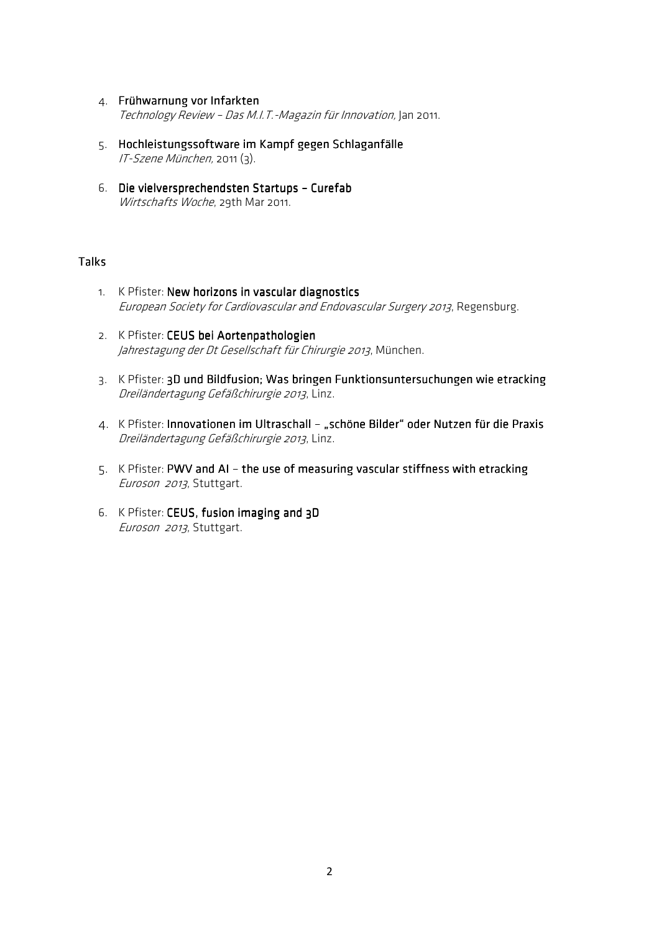- 4. Frühwarnung vor Infarkten Technology Review – Das M.I.T.-Magazin für Innovation, Jan 2011.
- 5. Hochleistungssoftware im Kampf gegen Schlaganfälle IT-Szene München, 2011 (3).
- 6. Die vielversprechendsten Startups Curefab Wirtschafts Woche, 29th Mar 2011.

## Talks

- 1. K Pfister: New horizons in vascular diagnostics European Society for Cardiovascular and Endovascular Surgery 2013, Regensburg.
- 2. K Pfister: CEUS bei Aortenpathologien Jahrestagung der Dt Gesellschaft für Chirurgie 2013, München.
- 3. K Pfister: 3D und Bildfusion; Was bringen Funktionsuntersuchungen wie etracking Dreiländertagung Gefäßchirurgie 2013, Linz.
- 4. K Pfister: Innovationen im Ultraschall "schöne Bilder" oder Nutzen für die Praxis Dreiländertagung Gefäßchirurgie 2013, Linz.
- 5. K Pfister: PWV and AI the use of measuring vascular stiffness with etracking Euroson 2013, Stuttgart.
- 6. K Pfister: CEUS, fusion imaging and 3D Euroson 2013, Stuttgart.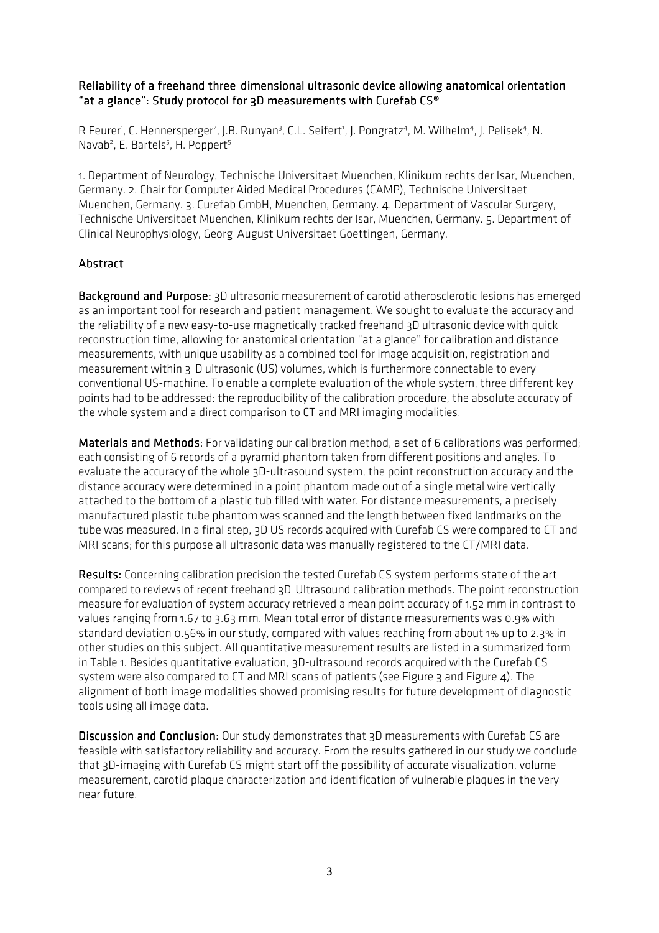#### Reliability of a freehand three-dimensional ultrasonic device allowing anatomical orientation "at a glance": Study protocol for 3D measurements with Curefab CS®

R Feurer<sup>1</sup>, C. Hennersperger<sup>2</sup>, J.B. Runyan<sup>3</sup>, C.L. Seifert<sup>1</sup>, J. Pongratz<sup>4</sup>, M. Wilhelm<sup>4</sup>, J. Pelisek<sup>4</sup>, N. Navab<sup>2</sup>, E. Bartels<sup>5</sup>, H. Poppert<sup>5</sup>

1. Department of Neurology, Technische Universitaet Muenchen, Klinikum rechts der Isar, Muenchen, Germany. 2. Chair for Computer Aided Medical Procedures (CAMP), Technische Universitaet Muenchen, Germany. 3. Curefab GmbH, Muenchen, Germany. 4. Department of Vascular Surgery, Technische Universitaet Muenchen, Klinikum rechts der Isar, Muenchen, Germany. 5. Department of Clinical Neurophysiology, Georg-August Universitaet Goettingen, Germany.

# **Abstract**

Background and Purpose: 3D ultrasonic measurement of carotid atherosclerotic lesions has emerged as an important tool for research and patient management. We sought to evaluate the accuracy and the reliability of a new easy-to-use magnetically tracked freehand 3D ultrasonic device with quick reconstruction time, allowing for anatomical orientation "at a glance" for calibration and distance measurements, with unique usability as a combined tool for image acquisition, registration and measurement within 3-D ultrasonic (US) volumes, which is furthermore connectable to every conventional US-machine. To enable a complete evaluation of the whole system, three different key points had to be addressed: the reproducibility of the calibration procedure, the absolute accuracy of the whole system and a direct comparison to CT and MRI imaging modalities.

Materials and Methods: For validating our calibration method, a set of 6 calibrations was performed; each consisting of 6 records of a pyramid phantom taken from different positions and angles. To evaluate the accuracy of the whole 3D-ultrasound system, the point reconstruction accuracy and the distance accuracy were determined in a point phantom made out of a single metal wire vertically attached to the bottom of a plastic tub filled with water. For distance measurements, a precisely manufactured plastic tube phantom was scanned and the length between fixed landmarks on the tube was measured. In a final step, 3D US records acquired with Curefab CS were compared to CT and MRI scans; for this purpose all ultrasonic data was manually registered to the CT/MRI data.

Results: Concerning calibration precision the tested Curefab CS system performs state of the art compared to reviews of recent freehand 3D-Ultrasound calibration methods. The point reconstruction measure for evaluation of system accuracy retrieved a mean point accuracy of 1.52 mm in contrast to values ranging from 1.67 to 3.63 mm. Mean total error of distance measurements was 0.9% with standard deviation 0.56% in our study, compared with values reaching from about 1% up to 2.3% in other studies on this subject. All quantitative measurement results are listed in a summarized form in Table 1. Besides quantitative evaluation, 3D-ultrasound records acquired with the Curefab CS system were also compared to CT and MRI scans of patients (see Figure 3 and Figure 4). The alignment of both image modalities showed promising results for future development of diagnostic tools using all image data.

Discussion and Conclusion: Our study demonstrates that 3D measurements with Curefab CS are feasible with satisfactory reliability and accuracy. From the results gathered in our study we conclude that 3D-imaging with Curefab CS might start off the possibility of accurate visualization, volume measurement, carotid plaque characterization and identification of vulnerable plaques in the very near future.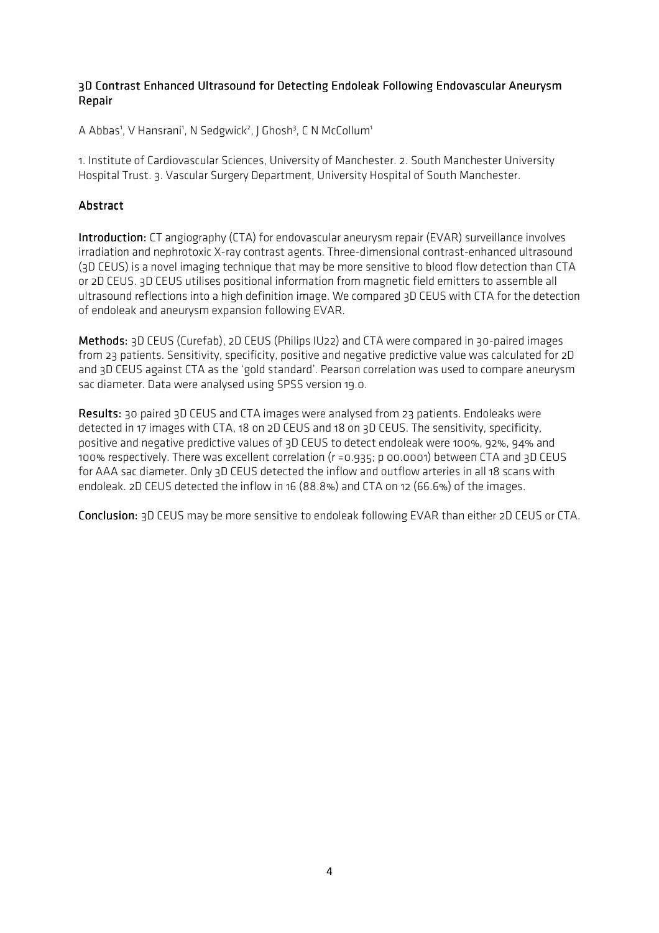## 3D Contrast Enhanced Ultrasound for Detecting Endoleak Following Endovascular Aneurysm Repair

A Abbas<sup>1</sup>, V Hansrani<sup>1</sup>, N Sedgwick<sup>2</sup>, J Ghosh<sup>3</sup>, C N McCollum<sup>1</sup>

1. Institute of Cardiovascular Sciences, University of Manchester. 2. South Manchester University Hospital Trust. 3. Vascular Surgery Department, University Hospital of South Manchester.

# **Abstract**

Introduction: CT angiography (CTA) for endovascular aneurysm repair (EVAR) surveillance involves irradiation and nephrotoxic X-ray contrast agents. Three-dimensional contrast-enhanced ultrasound (3D CEUS) is a novel imaging technique that may be more sensitive to blood flow detection than CTA or 2D CEUS. 3D CEUS utilises positional information from magnetic field emitters to assemble all ultrasound reflections into a high definition image. We compared 3D CEUS with CTA for the detection of endoleak and aneurysm expansion following EVAR.

Methods: 3D CEUS (Curefab), 2D CEUS (Philips IU22) and CTA were compared in 30-paired images from 23 patients. Sensitivity, specificity, positive and negative predictive value was calculated for 2D and 3D CEUS against CTA as the 'gold standard'. Pearson correlation was used to compare aneurysm sac diameter. Data were analysed using SPSS version 19.0.

Results: 30 paired 3D CEUS and CTA images were analysed from 23 patients. Endoleaks were detected in 17 images with CTA, 18 on 2D CEUS and 18 on 3D CEUS. The sensitivity, specificity, positive and negative predictive values of 3D CEUS to detect endoleak were 100%, 92%, 94% and 100% respectively. There was excellent correlation (r =0.935; p 00.0001) between CTA and 3D CEUS for AAA sac diameter. Only 3D CEUS detected the inflow and outflow arteries in all 18 scans with endoleak. 2D CEUS detected the inflow in 16 (88.8%) and CTA on 12 (66.6%) of the images.

Conclusion: 3D CEUS may be more sensitive to endoleak following EVAR than either 2D CEUS or CTA.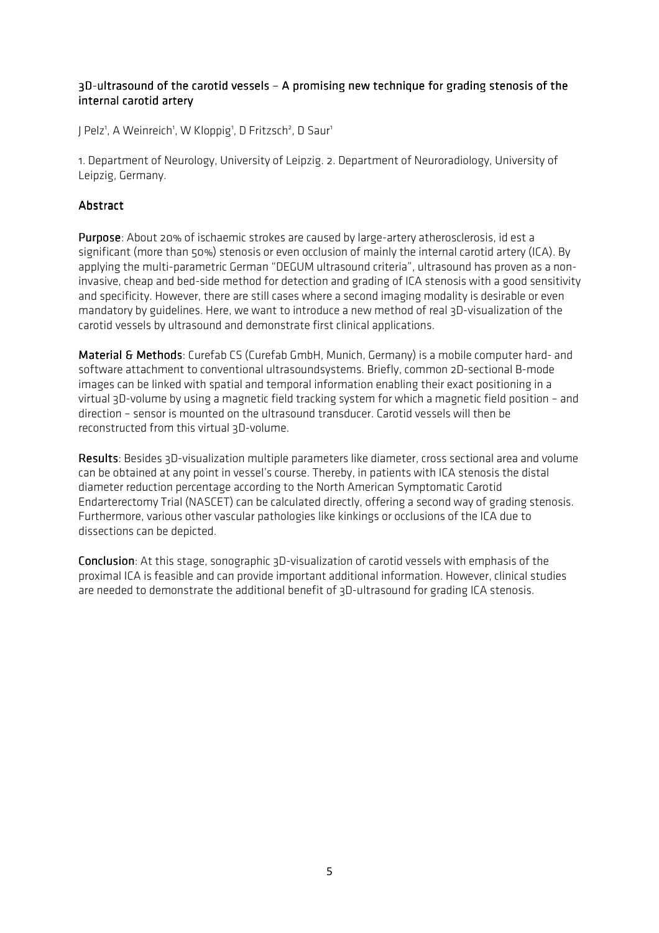## 3D-ultrasound of the carotid vessels - A promising new technique for grading stenosis of the internal carotid artery

J Pelz<sup>1</sup>, A Weinreich<sup>1</sup>, W Kloppig<sup>1</sup>, D Fritzsch<sup>2</sup>, D Saur<sup>1</sup>

1. Department of Neurology, University of Leipzig. 2. Department of Neuroradiology, University of Leipzig, Germany.

# **Abstract**

Purpose: About 20% of ischaemic strokes are caused by large-artery atherosclerosis, id est a significant (more than 50%) stenosis or even occlusion of mainly the internal carotid artery (ICA). By applying the multi-parametric German "DEGUM ultrasound criteria", ultrasound has proven as a noninvasive, cheap and bed-side method for detection and grading of ICA stenosis with a good sensitivity and specificity. However, there are still cases where a second imaging modality is desirable or even mandatory by guidelines. Here, we want to introduce a new method of real 3D-visualization of the carotid vessels by ultrasound and demonstrate first clinical applications.

Material & Methods: Curefab CS (Curefab GmbH, Munich, Germany) is a mobile computer hard- and software attachment to conventional ultrasoundsystems. Briefly, common 2D-sectional B-mode images can be linked with spatial and temporal information enabling their exact positioning in a virtual 3D-volume by using a magnetic field tracking system for which a magnetic field position – and direction – sensor is mounted on the ultrasound transducer. Carotid vessels will then be reconstructed from this virtual 3D-volume.

Results: Besides 3D-visualization multiple parameters like diameter, cross sectional area and volume can be obtained at any point in vessel's course. Thereby, in patients with ICA stenosis the distal diameter reduction percentage according to the North American Symptomatic Carotid Endarterectomy Trial (NASCET) can be calculated directly, offering a second way of grading stenosis. Furthermore, various other vascular pathologies like kinkings or occlusions of the ICA due to dissections can be depicted.

**Conclusion**: At this stage, sonographic 3D-visualization of carotid vessels with emphasis of the proximal ICA is feasible and can provide important additional information. However, clinical studies are needed to demonstrate the additional benefit of 3D-ultrasound for grading ICA stenosis.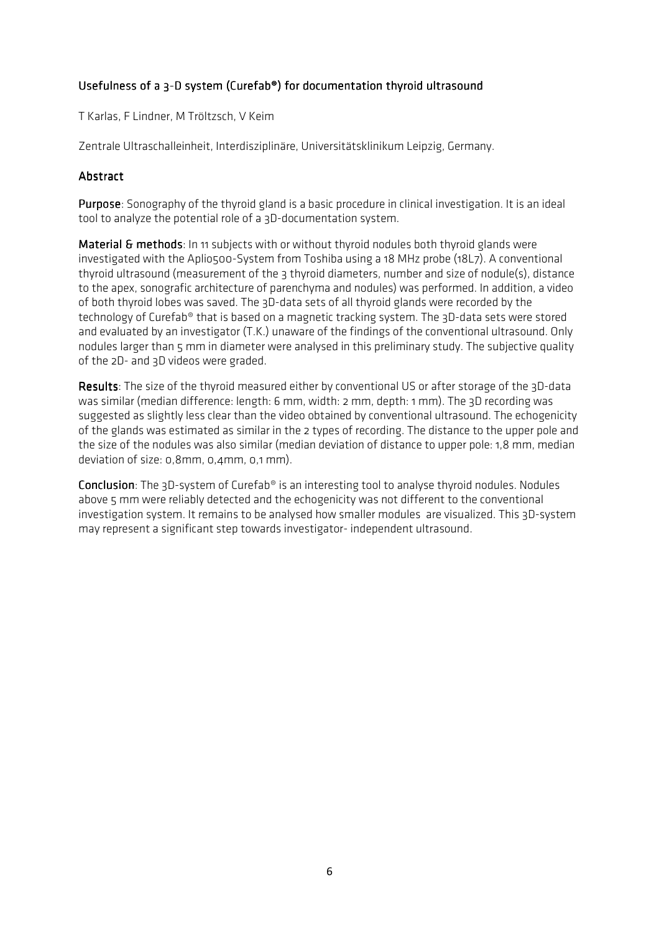# Usefulness of a 3-D system (Curefab®) for documentation thyroid ultrasound

T Karlas, F Lindner, M Tröltzsch, V Keim

Zentrale Ultraschalleinheit, Interdisziplinäre, Universitätsklinikum Leipzig, Germany.

## Abstract

Purpose: Sonography of the thyroid gland is a basic procedure in clinical investigation. It is an ideal tool to analyze the potential role of a 3D-documentation system.

Material & methods: In 11 subjects with or without thyroid nodules both thyroid glands were investigated with the Aplio500-System from Toshiba using a 18 MHz probe (18L7). A conventional thyroid ultrasound (measurement of the 3 thyroid diameters, number and size of nodule(s), distance to the apex, sonografic architecture of parenchyma and nodules) was performed. In addition, a video of both thyroid lobes was saved. The 3D-data sets of all thyroid glands were recorded by the technology of Curefab® that is based on a magnetic tracking system. The 3D-data sets were stored and evaluated by an investigator (T.K.) unaware of the findings of the conventional ultrasound. Only nodules larger than 5 mm in diameter were analysed in this preliminary study. The subjective quality of the 2D- and 3D videos were graded.

Results: The size of the thyroid measured either by conventional US or after storage of the 3D-data was similar (median difference: length: 6 mm, width: 2 mm, depth: 1 mm). The 3D recording was suggested as slightly less clear than the video obtained by conventional ultrasound. The echogenicity of the glands was estimated as similar in the 2 types of recording. The distance to the upper pole and the size of the nodules was also similar (median deviation of distance to upper pole: 1,8 mm, median deviation of size: 0,8mm, 0,4mm, 0,1 mm).

**Conclusion**: The 3D-system of Curefab<sup>®</sup> is an interesting tool to analyse thyroid nodules. Nodules above 5 mm were reliably detected and the echogenicity was not different to the conventional investigation system. It remains to be analysed how smaller modules are visualized. This 3D-system may represent a significant step towards investigator- independent ultrasound.